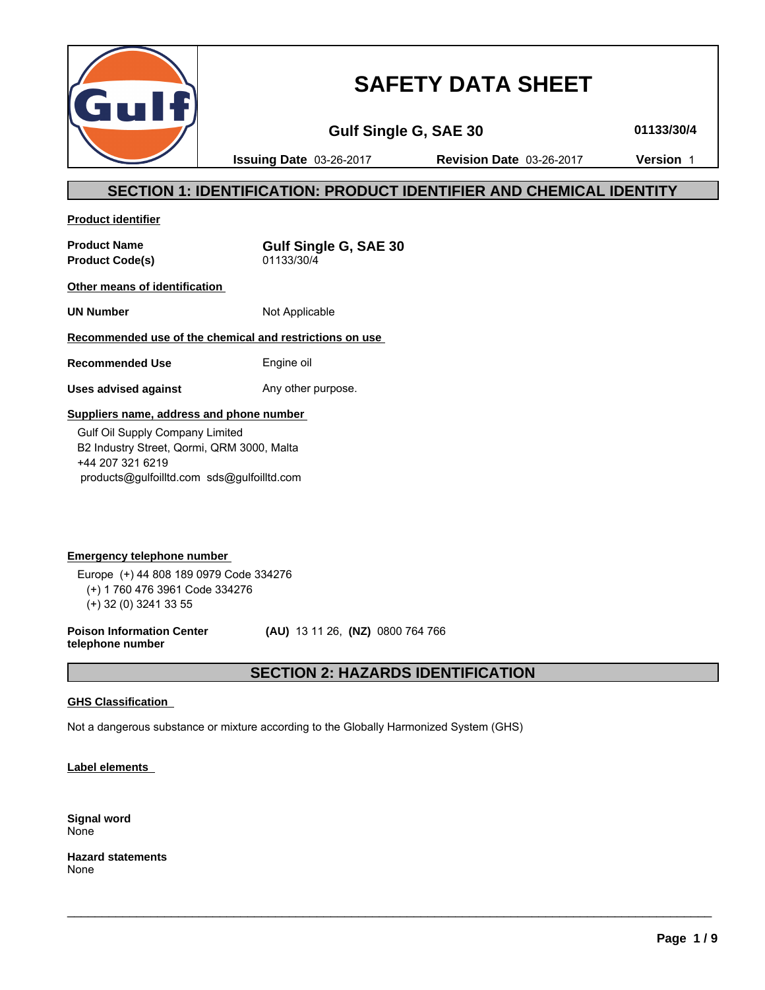

# **SAFETY DATA SHEET**

**Gulf Single G, SAE 30 01133/30/4**

**Issuing Date** 03-26-2017 **Revision Date** 03-26-2017 **Version** 1

# **SECTION 1: IDENTIFICATION: PRODUCT IDENTIFIER AND CHEMICAL IDENTITY**

**Product identifier**

**Product Code(s)** 

**Product Name**<br> **Product Code(s)**<br> **Product Code(s)**<br> **Gulf Single G, SAE 30** 

**Other means of identification** 

**UN Number** Not Applicable

# **Recommended use of the chemical and restrictions on use**

**Recommended Use** Engine oil

**Uses advised against** Any other purpose.

# **Suppliers name, address and phone number**

 Gulf Oil Supply Company Limited B2 Industry Street, Qormi, QRM 3000, Malta +44 207 321 6219 products@gulfoilltd.com sds@gulfoilltd.com

**Emergency telephone number**  Europe (+) 44 808 189 0979 Code 334276 (+) 1 760 476 3961 Code 334276 (+) 32 (0) 3241 33 55

**Poison Information Center telephone number**

 **(AU)** 13 11 26, **(NZ)** 0800 764 766

**SECTION 2: HAZARDS IDENTIFICATION**

 $\_$  ,  $\_$  ,  $\_$  ,  $\_$  ,  $\_$  ,  $\_$  ,  $\_$  ,  $\_$  ,  $\_$  ,  $\_$  ,  $\_$  ,  $\_$  ,  $\_$  ,  $\_$  ,  $\_$  ,  $\_$  ,  $\_$  ,  $\_$  ,  $\_$  ,  $\_$  ,  $\_$  ,  $\_$  ,  $\_$  ,  $\_$  ,  $\_$  ,  $\_$  ,  $\_$  ,  $\_$  ,  $\_$  ,  $\_$  ,  $\_$  ,  $\_$  ,  $\_$  ,  $\_$  ,  $\_$  ,  $\_$  ,  $\_$  ,

# **GHS Classification**

Not a dangerous substance or mixture according to the Globally Harmonized System (GHS)

**Label elements** 

**Signal word** None

**Hazard statements** None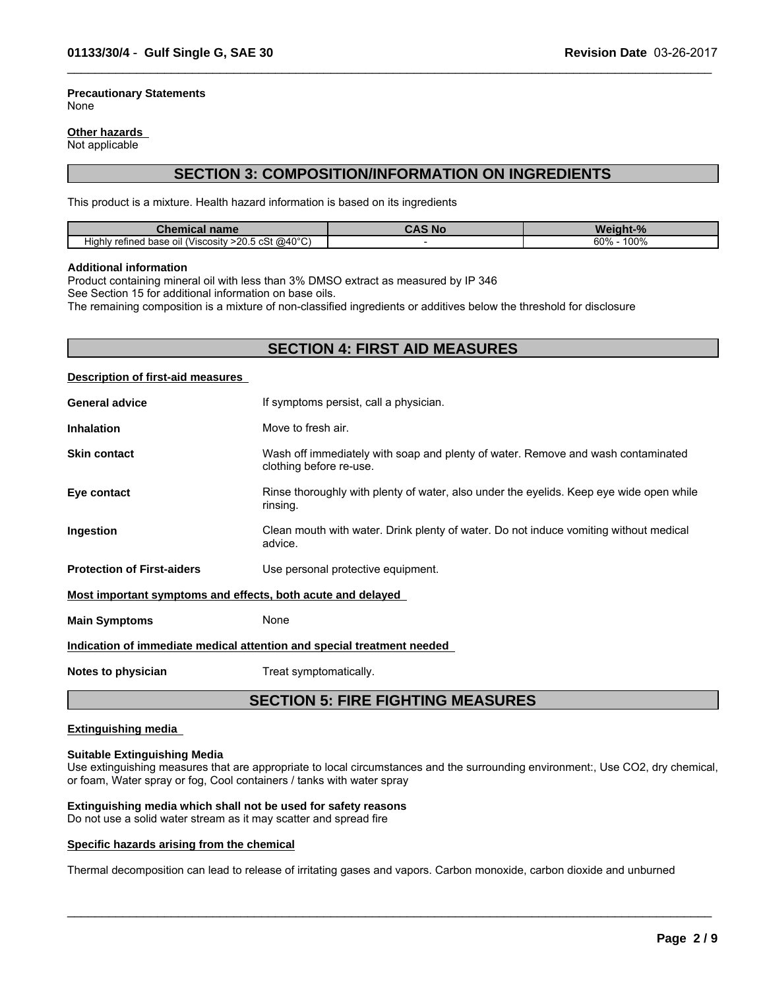#### **Precautionary Statements** None

### **Other hazards**

Not applicable

# **SECTION 3: COMPOSITION/INFORMATION ON INGREDIENTS**

 $\_$  ,  $\_$  ,  $\_$  ,  $\_$  ,  $\_$  ,  $\_$  ,  $\_$  ,  $\_$  ,  $\_$  ,  $\_$  ,  $\_$  ,  $\_$  ,  $\_$  ,  $\_$  ,  $\_$  ,  $\_$  ,  $\_$  ,  $\_$  ,  $\_$  ,  $\_$  ,  $\_$  ,  $\_$  ,  $\_$  ,  $\_$  ,  $\_$  ,  $\_$  ,  $\_$  ,  $\_$  ,  $\_$  ,  $\_$  ,  $\_$  ,  $\_$  ,  $\_$  ,  $\_$  ,  $\_$  ,  $\_$  ,  $\_$  ,

This product is a mixture. Health hazard information is based on its ingredients

| ----<br>name<br>Chen<br>шсаг                                           | , Nc | <b>n</b>                  |
|------------------------------------------------------------------------|------|---------------------------|
| $>$ 20.5 cSt @40°C)<br>.<br>refined base<br>oil (Viscosity ؛<br>Hiahlv |      | 100%<br>60%<br>$v_{\ell}$ |

### **Additional information**

Product containing mineral oil with less than 3% DMSO extract as measured by IP 346

See Section 15 for additional information on base oils.

The remaining composition is a mixture of non-classified ingredients or additives below the threshold for disclosure

# **SECTION 4: FIRST AID MEASURES**

### **Description of first-aid measures**

| <b>General advice</b>                                                  | If symptoms persist, call a physician.                                                                      |  |  |
|------------------------------------------------------------------------|-------------------------------------------------------------------------------------------------------------|--|--|
| <b>Inhalation</b>                                                      | Move to fresh air.                                                                                          |  |  |
| <b>Skin contact</b>                                                    | Wash off immediately with soap and plenty of water. Remove and wash contaminated<br>clothing before re-use. |  |  |
| Eye contact                                                            | Rinse thoroughly with plenty of water, also under the eyelids. Keep eye wide open while<br>rinsing.         |  |  |
| <b>Ingestion</b>                                                       | Clean mouth with water. Drink plenty of water. Do not induce vomiting without medical<br>advice.            |  |  |
| <b>Protection of First-aiders</b>                                      | Use personal protective equipment.                                                                          |  |  |
| Most important symptoms and effects, both acute and delayed            |                                                                                                             |  |  |
| <b>Main Symptoms</b>                                                   | None                                                                                                        |  |  |
| Indication of immediate medical attention and special treatment needed |                                                                                                             |  |  |

**Notes to physician** Treat symptomatically.

# **SECTION 5: FIRE FIGHTING MEASURES**

## **Extinguishing media**

# **Suitable Extinguishing Media**

Use extinguishing measures that are appropriate to local circumstances and the surrounding environment:, Use CO2, dry chemical, or foam, Water spray or fog, Cool containers / tanks with water spray

 $\_$  ,  $\_$  ,  $\_$  ,  $\_$  ,  $\_$  ,  $\_$  ,  $\_$  ,  $\_$  ,  $\_$  ,  $\_$  ,  $\_$  ,  $\_$  ,  $\_$  ,  $\_$  ,  $\_$  ,  $\_$  ,  $\_$  ,  $\_$  ,  $\_$  ,  $\_$  ,  $\_$  ,  $\_$  ,  $\_$  ,  $\_$  ,  $\_$  ,  $\_$  ,  $\_$  ,  $\_$  ,  $\_$  ,  $\_$  ,  $\_$  ,  $\_$  ,  $\_$  ,  $\_$  ,  $\_$  ,  $\_$  ,  $\_$  ,

# **Extinguishing media which shall not be used for safety reasons**

Do not use a solid water stream as it may scatter and spread fire

#### **Specific hazards arising from the chemical**

Thermal decomposition can lead to release of irritating gases and vapors. Carbon monoxide, carbon dioxide and unburned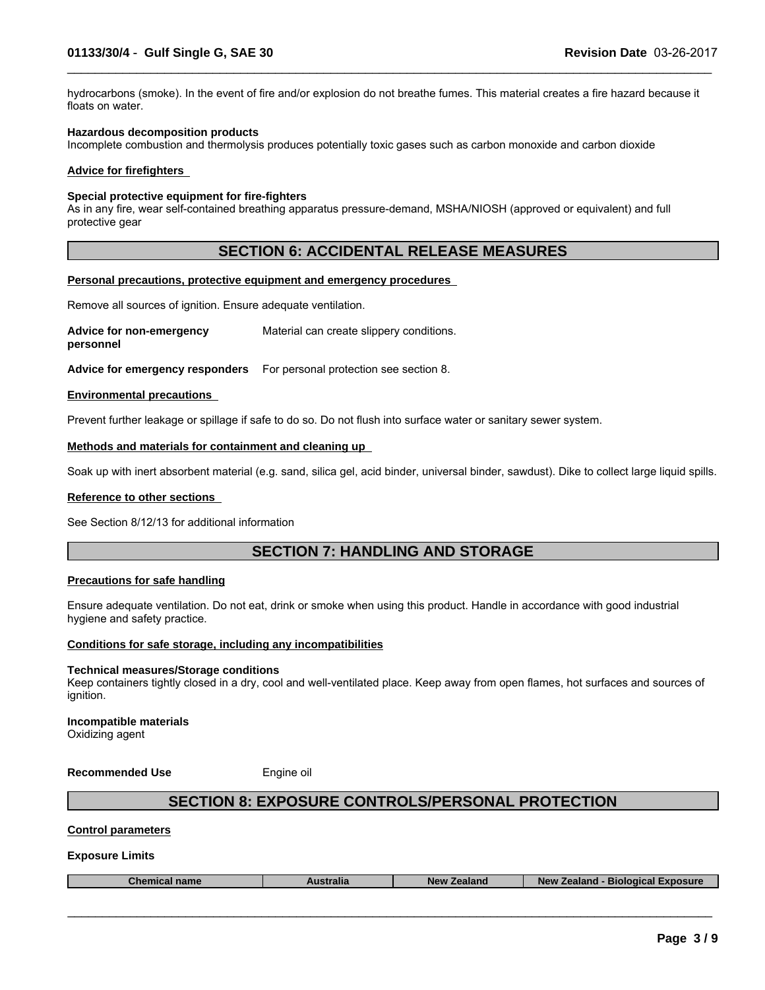hydrocarbons (smoke). In the event of fire and/or explosion do not breathe fumes. This material creates a fire hazard because it floats on water.

 $\_$  ,  $\_$  ,  $\_$  ,  $\_$  ,  $\_$  ,  $\_$  ,  $\_$  ,  $\_$  ,  $\_$  ,  $\_$  ,  $\_$  ,  $\_$  ,  $\_$  ,  $\_$  ,  $\_$  ,  $\_$  ,  $\_$  ,  $\_$  ,  $\_$  ,  $\_$  ,  $\_$  ,  $\_$  ,  $\_$  ,  $\_$  ,  $\_$  ,  $\_$  ,  $\_$  ,  $\_$  ,  $\_$  ,  $\_$  ,  $\_$  ,  $\_$  ,  $\_$  ,  $\_$  ,  $\_$  ,  $\_$  ,  $\_$  ,

#### **Hazardous decomposition products**

Incomplete combustion and thermolysis produces potentially toxic gases such as carbon monoxide and carbon dioxide

#### **Advice for firefighters**

#### **Special protective equipment for fire-fighters**

As in any fire, wear self-contained breathing apparatus pressure-demand, MSHA/NIOSH (approved or equivalent) and full protective gear

# **SECTION 6: ACCIDENTAL RELEASE MEASURES**

#### **Personal precautions, protective equipment and emergency procedures**

Remove all sources of ignition. Ensure adequate ventilation.

**Advice for non-emergency personnel** Material can create slippery conditions.

**Advice for emergency responders** For personal protection see section 8.

#### **Environmental precautions**

Prevent further leakage or spillage if safe to do so. Do not flush into surface water or sanitary sewer system.

#### **Methods and materials for containment and cleaning up**

Soak up with inert absorbent material (e.g. sand, silica gel, acid binder, universal binder, sawdust). Dike to collect large liquid spills.

#### **Reference to other sections**

See Section 8/12/13 for additional information

# **SECTION 7: HANDLING AND STORAGE**

#### **Precautions for safe handling**

Ensure adequate ventilation. Do not eat, drink or smoke when using this product. Handle in accordance with good industrial hygiene and safety practice.

# **Conditions for safe storage, including any incompatibilities**

#### **Technical measures/Storage conditions**

Keep containers tightly closed in a dry, cool and well-ventilated place. Keep away from open flames, hot surfaces and sources of ignition.

**Incompatible materials** Oxidizing agent

**Recommended Use** Engine oil

# **SECTION 8: EXPOSURE CONTROLS/PERSONAL PROTECTION**

# **Control parameters**

#### **Exposure Limits**

| <b>coosure</b><br>Biological<br>stralia<br>alang<br><b>NAW</b><br>Chemi<br>name<br>alall<br>заганч |
|----------------------------------------------------------------------------------------------------|
|----------------------------------------------------------------------------------------------------|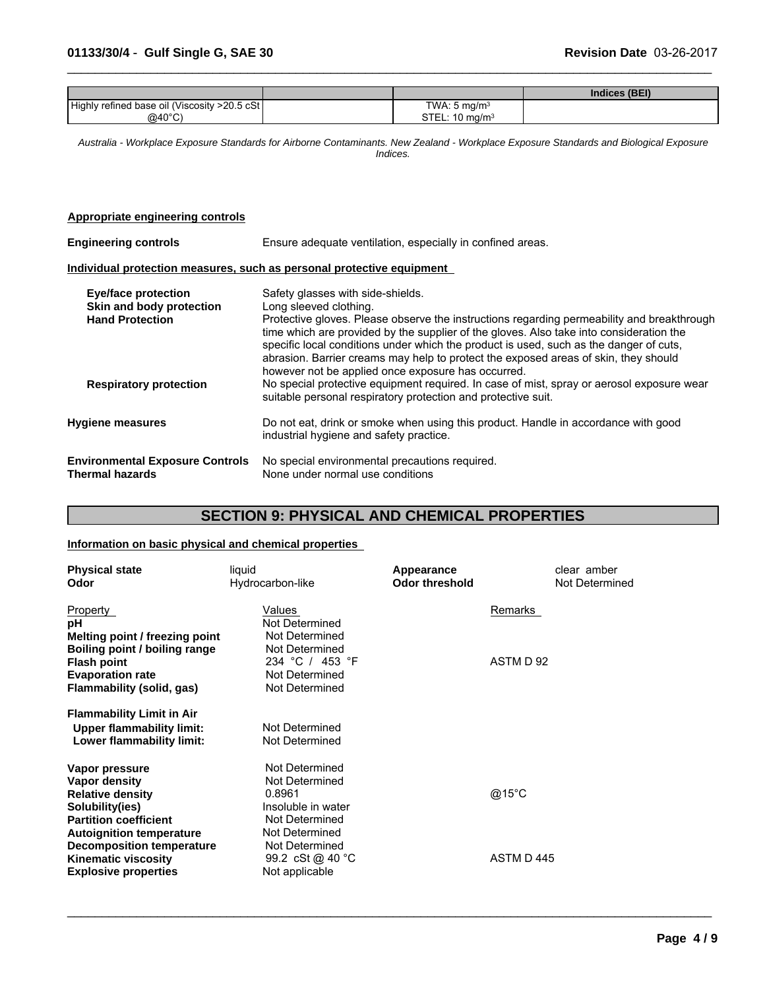|                                               |                            | Indices (BEI) |
|-----------------------------------------------|----------------------------|---------------|
| Highly refined base oil (Viscosity >20.5 cSt) | TWA: $5 \text{ mg/m}^3$    |               |
| $@40^{\circ}$ C)                              | STEL: 10 mg/m <sup>3</sup> |               |

 $\_$  ,  $\_$  ,  $\_$  ,  $\_$  ,  $\_$  ,  $\_$  ,  $\_$  ,  $\_$  ,  $\_$  ,  $\_$  ,  $\_$  ,  $\_$  ,  $\_$  ,  $\_$  ,  $\_$  ,  $\_$  ,  $\_$  ,  $\_$  ,  $\_$  ,  $\_$  ,  $\_$  ,  $\_$  ,  $\_$  ,  $\_$  ,  $\_$  ,  $\_$  ,  $\_$  ,  $\_$  ,  $\_$  ,  $\_$  ,  $\_$  ,  $\_$  ,  $\_$  ,  $\_$  ,  $\_$  ,  $\_$  ,  $\_$  ,

*Australia - Workplace Exposure Standards for Airborne Contaminants. New Zealand - Workplace Exposure Standards and Biological Exposure Indices.*

# **Appropriate engineering controls**

| <b>Engineering controls</b>                                                      | Ensure adequate ventilation, especially in confined areas.                                                                                                                                                                                                                                                                                                                                                                            |  |  |
|----------------------------------------------------------------------------------|---------------------------------------------------------------------------------------------------------------------------------------------------------------------------------------------------------------------------------------------------------------------------------------------------------------------------------------------------------------------------------------------------------------------------------------|--|--|
|                                                                                  | Individual protection measures, such as personal protective equipment                                                                                                                                                                                                                                                                                                                                                                 |  |  |
| <b>Eye/face protection</b><br>Skin and body protection<br><b>Hand Protection</b> | Safety glasses with side-shields.<br>Long sleeved clothing.<br>Protective gloves. Please observe the instructions regarding permeability and breakthrough<br>time which are provided by the supplier of the gloves. Also take into consideration the<br>specific local conditions under which the product is used, such as the danger of cuts,<br>abrasion. Barrier creams may help to protect the exposed areas of skin, they should |  |  |
| <b>Respiratory protection</b>                                                    | however not be applied once exposure has occurred.<br>No special protective equipment required. In case of mist, spray or aerosol exposure wear<br>suitable personal respiratory protection and protective suit.                                                                                                                                                                                                                      |  |  |
| <b>Hygiene measures</b>                                                          | Do not eat, drink or smoke when using this product. Handle in accordance with good<br>industrial hygiene and safety practice.                                                                                                                                                                                                                                                                                                         |  |  |
| <b>Environmental Exposure Controls</b><br><b>Thermal hazards</b>                 | No special environmental precautions required.<br>None under normal use conditions                                                                                                                                                                                                                                                                                                                                                    |  |  |

# **SECTION 9: PHYSICAL AND CHEMICAL PROPERTIES**

# **Information on basic physical and chemical properties**

| <b>Physical state</b><br>Odor        | liquid<br>Hydrocarbon-like | Appearance<br><b>Odor threshold</b> | clear amber<br>Not Determined |
|--------------------------------------|----------------------------|-------------------------------------|-------------------------------|
| Property                             | Values<br>Not Determined   | Remarks                             |                               |
| рH<br>Melting point / freezing point | Not Determined             |                                     |                               |
| Boiling point / boiling range        | Not Determined             |                                     |                               |
| <b>Flash point</b>                   | 234 °C / 453 °F            | ASTM D 92                           |                               |
| <b>Evaporation rate</b>              | Not Determined             |                                     |                               |
| Flammability (solid, gas)            | Not Determined             |                                     |                               |
| <b>Flammability Limit in Air</b>     |                            |                                     |                               |
| <b>Upper flammability limit:</b>     | Not Determined             |                                     |                               |
| Lower flammability limit:            | Not Determined             |                                     |                               |
| Vapor pressure                       | Not Determined             |                                     |                               |
| Vapor density                        | Not Determined             |                                     |                               |
| <b>Relative density</b>              | 0.8961                     | @15°C                               |                               |
| Solubility(ies)                      | Insoluble in water         |                                     |                               |
| <b>Partition coefficient</b>         | Not Determined             |                                     |                               |
| <b>Autoignition temperature</b>      | Not Determined             |                                     |                               |
| <b>Decomposition temperature</b>     | Not Determined             |                                     |                               |
| <b>Kinematic viscosity</b>           | 99.2 cSt @ 40 °C           | ASTM D445                           |                               |
| <b>Explosive properties</b>          | Not applicable             |                                     |                               |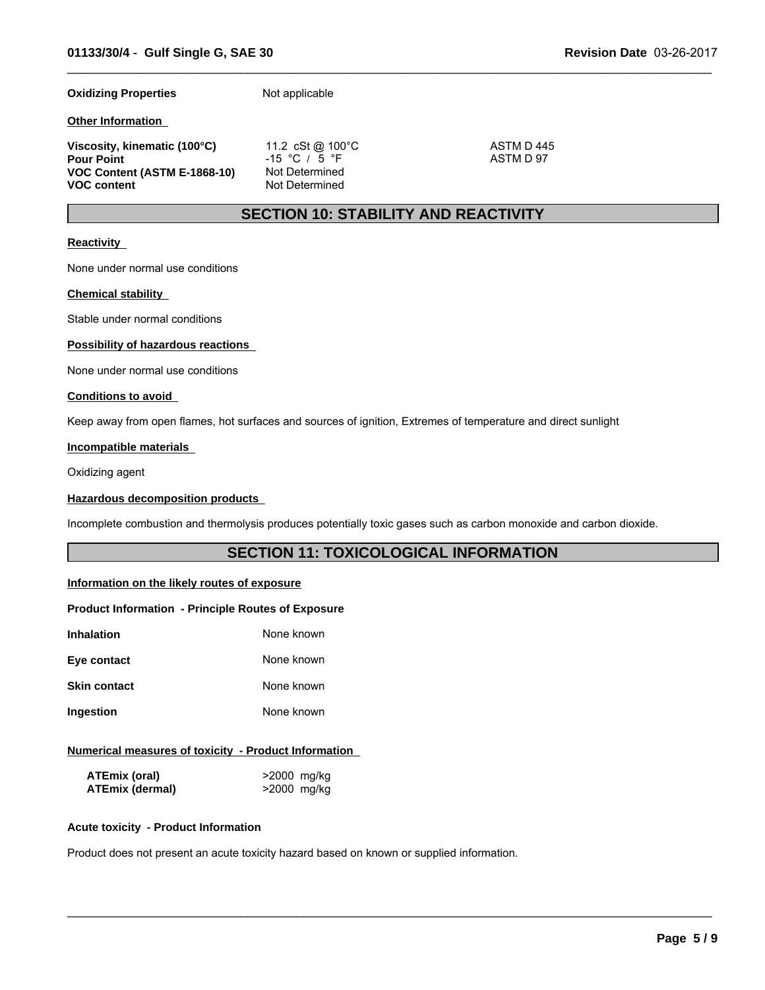**Oxidizing Properties** Not applicable

**Other Information** 

**Viscosity, kinematic (100°C)** 11.2 cSt @ 100°C <br>
Pour Point **11.2 cSt @ 100°C** ASTM D 445 **VOC Content (ASTM E-1868-10)**<br>VOC content

**Pour Pour Point Point Point Point Point Point Point Point Point Point Point Point Point Point Point Point Point Point Point Point Point Point Point Point Point Point Point Point Point Point Point Point Point Point Point P Not Determined** 

 $\_$  ,  $\_$  ,  $\_$  ,  $\_$  ,  $\_$  ,  $\_$  ,  $\_$  ,  $\_$  ,  $\_$  ,  $\_$  ,  $\_$  ,  $\_$  ,  $\_$  ,  $\_$  ,  $\_$  ,  $\_$  ,  $\_$  ,  $\_$  ,  $\_$  ,  $\_$  ,  $\_$  ,  $\_$  ,  $\_$  ,  $\_$  ,  $\_$  ,  $\_$  ,  $\_$  ,  $\_$  ,  $\_$  ,  $\_$  ,  $\_$  ,  $\_$  ,  $\_$  ,  $\_$  ,  $\_$  ,  $\_$  ,  $\_$  ,

# **SECTION 10: STABILITY AND REACTIVITY**

#### **Reactivity**

None under normal use conditions

### **Chemical stability**

Stable under normal conditions

# **Possibility of hazardous reactions**

None under normal use conditions

## **Conditions to avoid**

Keep away from open flames, hot surfaces and sources of ignition, Extremes of temperature and direct sunlight

## **Incompatible materials**

Oxidizing agent

## **Hazardous decomposition products**

Incomplete combustion and thermolysis produces potentially toxic gases such as carbon monoxide and carbon dioxide.

# **SECTION 11: TOXICOLOGICAL INFORMATION**

 $\_$  ,  $\_$  ,  $\_$  ,  $\_$  ,  $\_$  ,  $\_$  ,  $\_$  ,  $\_$  ,  $\_$  ,  $\_$  ,  $\_$  ,  $\_$  ,  $\_$  ,  $\_$  ,  $\_$  ,  $\_$  ,  $\_$  ,  $\_$  ,  $\_$  ,  $\_$  ,  $\_$  ,  $\_$  ,  $\_$  ,  $\_$  ,  $\_$  ,  $\_$  ,  $\_$  ,  $\_$  ,  $\_$  ,  $\_$  ,  $\_$  ,  $\_$  ,  $\_$  ,  $\_$  ,  $\_$  ,  $\_$  ,  $\_$  ,

#### **Information on the likely routes of exposure**

| None known<br><b>Inhalation</b>   | <b>Product Information - Principle Routes of Exposure</b> |  |  |  |
|-----------------------------------|-----------------------------------------------------------|--|--|--|
|                                   |                                                           |  |  |  |
| None known<br>Eye contact         |                                                           |  |  |  |
| None known<br><b>Skin contact</b> |                                                           |  |  |  |
| None known<br>Ingestion           |                                                           |  |  |  |

# **Numerical measures of toxicity - Product Information**

| ATEmix (oral)          | >2000 mg/kg |
|------------------------|-------------|
| <b>ATEmix (dermal)</b> | >2000 mg/kg |

#### **Acute toxicity - Product Information**

Product does not present an acute toxicity hazard based on known or supplied information.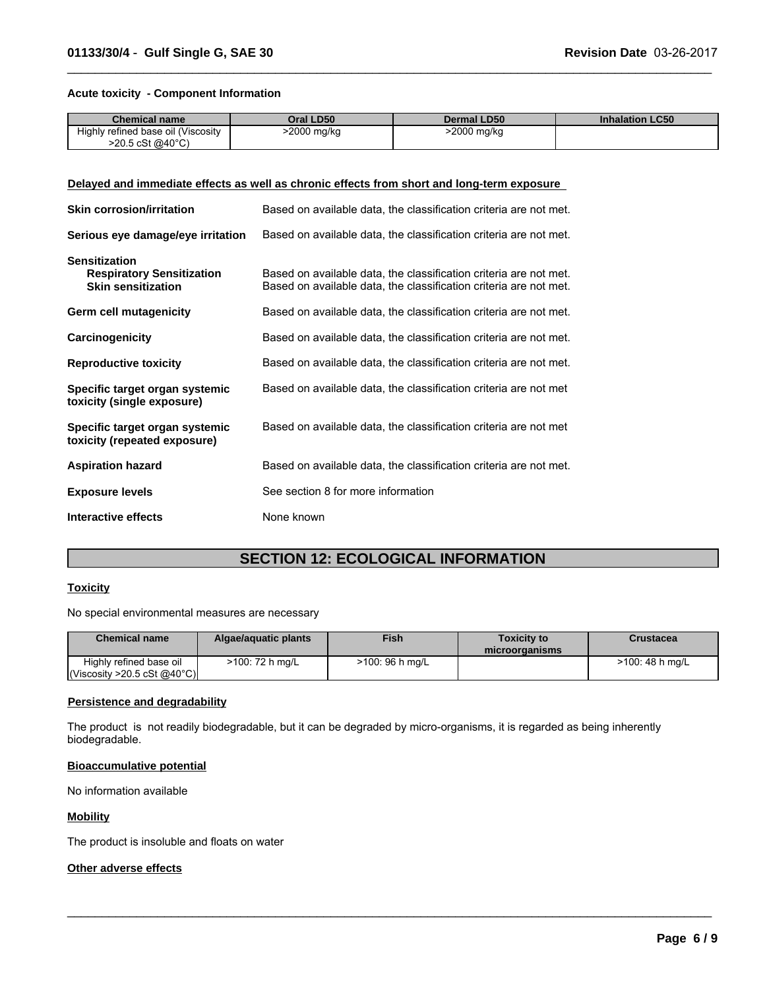# **Acute toxicity - Component Information**

| <b>Chemical name</b>                                                    | Oral LD50  | Dermal LD50 | <b>Inhalation LC50</b> |
|-------------------------------------------------------------------------|------------|-------------|------------------------|
| Highly refined base oil (Viscosity<br>$>20.5 \text{ cSt } @40^{\circ}C$ | 2000 mg/kg | >2000 mg/kg |                        |

 $\_$  ,  $\_$  ,  $\_$  ,  $\_$  ,  $\_$  ,  $\_$  ,  $\_$  ,  $\_$  ,  $\_$  ,  $\_$  ,  $\_$  ,  $\_$  ,  $\_$  ,  $\_$  ,  $\_$  ,  $\_$  ,  $\_$  ,  $\_$  ,  $\_$  ,  $\_$  ,  $\_$  ,  $\_$  ,  $\_$  ,  $\_$  ,  $\_$  ,  $\_$  ,  $\_$  ,  $\_$  ,  $\_$  ,  $\_$  ,  $\_$  ,  $\_$  ,  $\_$  ,  $\_$  ,  $\_$  ,  $\_$  ,  $\_$  ,

# **Delayed and immediate effects as well as chronic effects from short and long-term exposure**

| <b>Skin corrosion/irritation</b>                                                      | Based on available data, the classification criteria are not met.                                                                      |
|---------------------------------------------------------------------------------------|----------------------------------------------------------------------------------------------------------------------------------------|
| Serious eye damage/eye irritation                                                     | Based on available data, the classification criteria are not met.                                                                      |
| <b>Sensitization</b><br><b>Respiratory Sensitization</b><br><b>Skin sensitization</b> | Based on available data, the classification criteria are not met.<br>Based on available data, the classification criteria are not met. |
| <b>Germ cell mutagenicity</b>                                                         | Based on available data, the classification criteria are not met.                                                                      |
| Carcinogenicity                                                                       | Based on available data, the classification criteria are not met.                                                                      |
| <b>Reproductive toxicity</b>                                                          | Based on available data, the classification criteria are not met.                                                                      |
| Specific target organ systemic<br>toxicity (single exposure)                          | Based on available data, the classification criteria are not met                                                                       |
| Specific target organ systemic<br>toxicity (repeated exposure)                        | Based on available data, the classification criteria are not met                                                                       |
| <b>Aspiration hazard</b>                                                              | Based on available data, the classification criteria are not met.                                                                      |
| <b>Exposure levels</b>                                                                | See section 8 for more information                                                                                                     |
| Interactive effects                                                                   | None known                                                                                                                             |

# **SECTION 12: ECOLOGICAL INFORMATION**

# **Toxicity**

No special environmental measures are necessary

| <b>Chemical name</b>                                   | Algae/aguatic plants | <b>Fish</b>     | <b>Toxicity to</b><br>microorganisms | Crustacea       |
|--------------------------------------------------------|----------------------|-----------------|--------------------------------------|-----------------|
| Highly refined base oil<br> Viscosity > 20.5 cSt @40°C | >100: 72 h mg/L      | >100: 96 h mg/L |                                      | >100: 48 h mg/L |

 $\_$  ,  $\_$  ,  $\_$  ,  $\_$  ,  $\_$  ,  $\_$  ,  $\_$  ,  $\_$  ,  $\_$  ,  $\_$  ,  $\_$  ,  $\_$  ,  $\_$  ,  $\_$  ,  $\_$  ,  $\_$  ,  $\_$  ,  $\_$  ,  $\_$  ,  $\_$  ,  $\_$  ,  $\_$  ,  $\_$  ,  $\_$  ,  $\_$  ,  $\_$  ,  $\_$  ,  $\_$  ,  $\_$  ,  $\_$  ,  $\_$  ,  $\_$  ,  $\_$  ,  $\_$  ,  $\_$  ,  $\_$  ,  $\_$  ,

### **Persistence and degradability**

The product is not readily biodegradable, but it can be degraded by micro-organisms, it is regarded as being inherently biodegradable.

# **Bioaccumulative potential**

No information available

# **Mobility**

The product is insoluble and floats on water

# **Other adverse effects**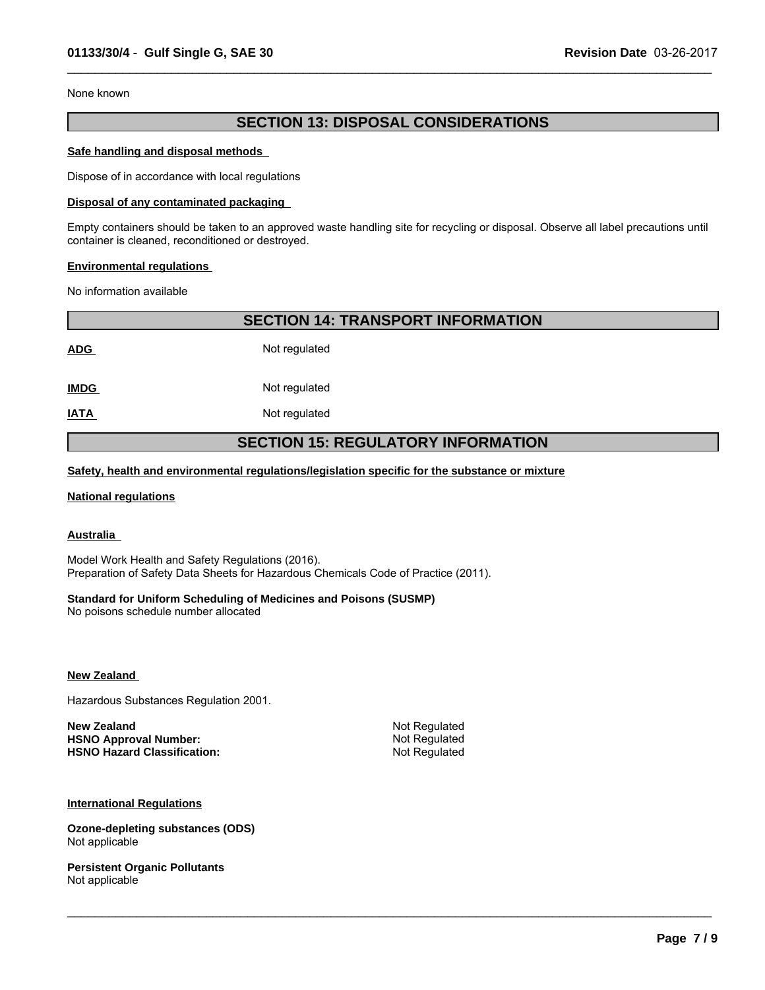None known

# **SECTION 13: DISPOSAL CONSIDERATIONS**

 $\_$  ,  $\_$  ,  $\_$  ,  $\_$  ,  $\_$  ,  $\_$  ,  $\_$  ,  $\_$  ,  $\_$  ,  $\_$  ,  $\_$  ,  $\_$  ,  $\_$  ,  $\_$  ,  $\_$  ,  $\_$  ,  $\_$  ,  $\_$  ,  $\_$  ,  $\_$  ,  $\_$  ,  $\_$  ,  $\_$  ,  $\_$  ,  $\_$  ,  $\_$  ,  $\_$  ,  $\_$  ,  $\_$  ,  $\_$  ,  $\_$  ,  $\_$  ,  $\_$  ,  $\_$  ,  $\_$  ,  $\_$  ,  $\_$  ,

### **Safe handling and disposal methods**

Dispose of in accordance with local regulations

#### **Disposal of any contaminated packaging**

Empty containers should be taken to an approved waste handling site for recycling or disposal. Observe all label precautions until container is cleaned, reconditioned or destroyed.

#### **Environmental regulations**

No information available

**SECTION 14: TRANSPORT INFORMATION**

**ADG** Not regulated

**IMDG** Not regulated

**IATA** Not regulated

# **SECTION 15: REGULATORY INFORMATION**

**Safety, health and environmental regulations/legislation specific for the substance or mixture**

#### **National regulations**

# **Australia**

Model Work Health and Safety Regulations (2016). Preparation of Safety Data Sheets for Hazardous Chemicals Code of Practice (2011).

### **Standard for Uniform Scheduling of Medicines and Poisons (SUSMP)**

No poisons schedule number allocated

**New Zealand** 

Hazardous Substances Regulation 2001.

**New Zealand** Not Regulated<br> **HSNO Approval Number:** Not Regulated Not Regulated **HSNO Approval Number:** Not Regulated<br> **HSNO Hazard Classification:** Not Regulated **HSNO Hazard Classification:** 

 $\_$  ,  $\_$  ,  $\_$  ,  $\_$  ,  $\_$  ,  $\_$  ,  $\_$  ,  $\_$  ,  $\_$  ,  $\_$  ,  $\_$  ,  $\_$  ,  $\_$  ,  $\_$  ,  $\_$  ,  $\_$  ,  $\_$  ,  $\_$  ,  $\_$  ,  $\_$  ,  $\_$  ,  $\_$  ,  $\_$  ,  $\_$  ,  $\_$  ,  $\_$  ,  $\_$  ,  $\_$  ,  $\_$  ,  $\_$  ,  $\_$  ,  $\_$  ,  $\_$  ,  $\_$  ,  $\_$  ,  $\_$  ,  $\_$  ,

**International Regulations**

**Ozone-depleting substances (ODS)** Not applicable

**Persistent Organic Pollutants** Not applicable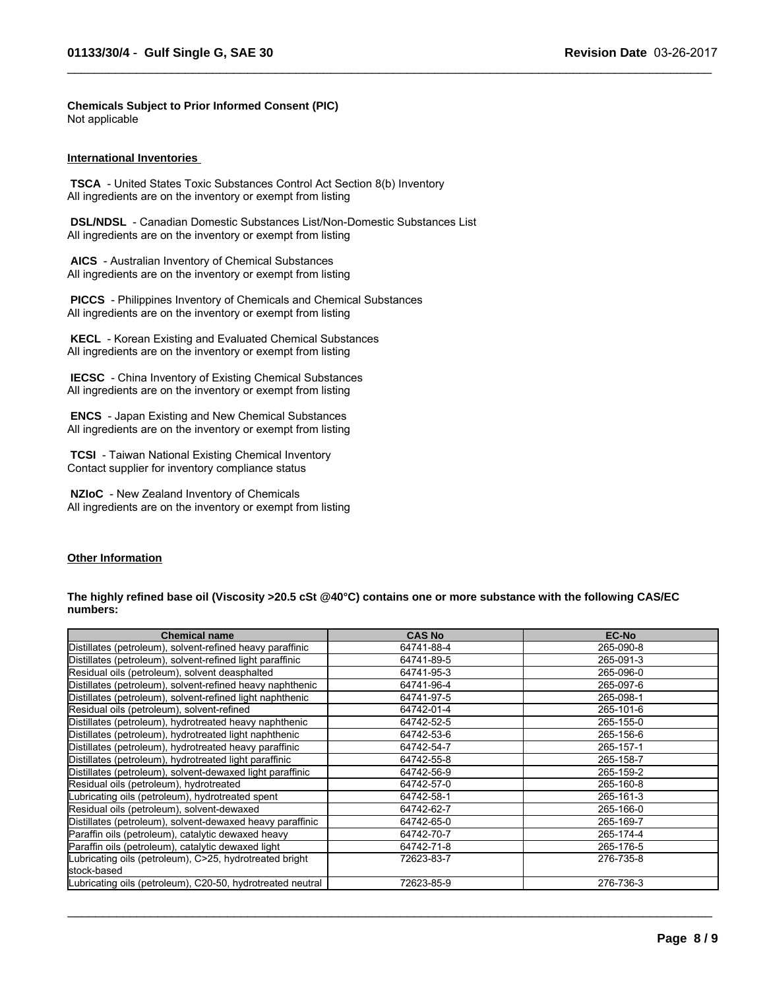**Chemicals Subject to Prior Informed Consent (PIC)** Not applicable

### **International Inventories**

 **TSCA** - United States Toxic Substances Control Act Section 8(b) Inventory All ingredients are on the inventory or exempt from listing

 **DSL/NDSL** - Canadian Domestic Substances List/Non-Domestic Substances List All ingredients are on the inventory or exempt from listing

 **AICS** - Australian Inventory of Chemical Substances All ingredients are on the inventory or exempt from listing

 **PICCS** - Philippines Inventory of Chemicals and Chemical Substances All ingredients are on the inventory or exempt from listing

 **KECL** - Korean Existing and Evaluated Chemical Substances All ingredients are on the inventory or exempt from listing

 **IECSC** - China Inventory of Existing Chemical Substances All ingredients are on the inventory or exempt from listing

 **ENCS** - Japan Existing and New Chemical Substances All ingredients are on the inventory or exempt from listing

 **TCSI** - Taiwan National Existing Chemical Inventory Contact supplier for inventory compliance status

 **NZIoC** - New Zealand Inventory of Chemicals All ingredients are on the inventory or exempt from listing

# **Other Information**

**The highly refined base oil (Viscosity >20.5 cSt @40°C) contains one or more substance with the following CAS/EC numbers:**

 $\_$  ,  $\_$  ,  $\_$  ,  $\_$  ,  $\_$  ,  $\_$  ,  $\_$  ,  $\_$  ,  $\_$  ,  $\_$  ,  $\_$  ,  $\_$  ,  $\_$  ,  $\_$  ,  $\_$  ,  $\_$  ,  $\_$  ,  $\_$  ,  $\_$  ,  $\_$  ,  $\_$  ,  $\_$  ,  $\_$  ,  $\_$  ,  $\_$  ,  $\_$  ,  $\_$  ,  $\_$  ,  $\_$  ,  $\_$  ,  $\_$  ,  $\_$  ,  $\_$  ,  $\_$  ,  $\_$  ,  $\_$  ,  $\_$  ,

| <b>Chemical name</b>                                       | <b>CAS No</b> | <b>EC-No</b> |
|------------------------------------------------------------|---------------|--------------|
| Distillates (petroleum), solvent-refined heavy paraffinic  | 64741-88-4    | 265-090-8    |
| Distillates (petroleum), solvent-refined light paraffinic  | 64741-89-5    | 265-091-3    |
| Residual oils (petroleum), solvent deasphalted             | 64741-95-3    | 265-096-0    |
| Distillates (petroleum), solvent-refined heavy naphthenic  | 64741-96-4    | 265-097-6    |
| Distillates (petroleum), solvent-refined light naphthenic  | 64741-97-5    | 265-098-1    |
| Residual oils (petroleum), solvent-refined                 | 64742-01-4    | 265-101-6    |
| Distillates (petroleum), hydrotreated heavy naphthenic     | 64742-52-5    | 265-155-0    |
| Distillates (petroleum), hydrotreated light naphthenic     | 64742-53-6    | 265-156-6    |
| Distillates (petroleum), hydrotreated heavy paraffinic     | 64742-54-7    | 265-157-1    |
| Distillates (petroleum), hydrotreated light paraffinic     | 64742-55-8    | 265-158-7    |
| Distillates (petroleum), solvent-dewaxed light paraffinic  | 64742-56-9    | 265-159-2    |
| Residual oils (petroleum), hydrotreated                    | 64742-57-0    | 265-160-8    |
| Lubricating oils (petroleum), hydrotreated spent           | 64742-58-1    | 265-161-3    |
| Residual oils (petroleum), solvent-dewaxed                 | 64742-62-7    | 265-166-0    |
| Distillates (petroleum), solvent-dewaxed heavy paraffinic  | 64742-65-0    | 265-169-7    |
| Paraffin oils (petroleum), catalytic dewaxed heavy         | 64742-70-7    | 265-174-4    |
| Paraffin oils (petroleum), catalytic dewaxed light         | 64742-71-8    | 265-176-5    |
| Lubricating oils (petroleum), C>25, hydrotreated bright    | 72623-83-7    | 276-735-8    |
| stock-based                                                |               |              |
| Lubricating oils (petroleum), C20-50, hydrotreated neutral | 72623-85-9    | 276-736-3    |